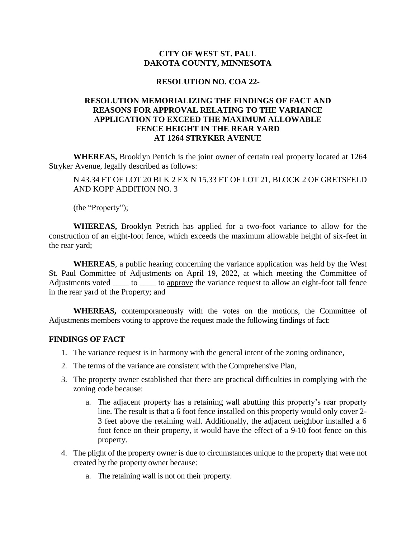## **CITY OF WEST ST. PAUL DAKOTA COUNTY, MINNESOTA**

## **RESOLUTION NO. COA 22-**

## **RESOLUTION MEMORIALIZING THE FINDINGS OF FACT AND REASONS FOR APPROVAL RELATING TO THE VARIANCE APPLICATION TO EXCEED THE MAXIMUM ALLOWABLE FENCE HEIGHT IN THE REAR YARD AT 1264 STRYKER AVENUE**

**WHEREAS,** Brooklyn Petrich is the joint owner of certain real property located at 1264 Stryker Avenue, legally described as follows:

N 43.34 FT OF LOT 20 BLK 2 EX N 15.33 FT OF LOT 21, BLOCK 2 OF GRETSFELD AND KOPP ADDITION NO. 3

(the "Property");

**WHEREAS,** Brooklyn Petrich has applied for a two-foot variance to allow for the construction of an eight-foot fence, which exceeds the maximum allowable height of six-feet in the rear yard;

**WHEREAS**, a public hearing concerning the variance application was held by the West St. Paul Committee of Adjustments on April 19, 2022, at which meeting the Committee of Adjustments voted \_\_\_\_\_ to \_\_\_\_\_ to approve the variance request to allow an eight-foot tall fence in the rear yard of the Property; and

**WHEREAS,** contemporaneously with the votes on the motions, the Committee of Adjustments members voting to approve the request made the following findings of fact:

## **FINDINGS OF FACT**

- 1. The variance request is in harmony with the general intent of the zoning ordinance,
- 2. The terms of the variance are consistent with the Comprehensive Plan,
- 3. The property owner established that there are practical difficulties in complying with the zoning code because:
	- a. The adjacent property has a retaining wall abutting this property's rear property line. The result is that a 6 foot fence installed on this property would only cover 2- 3 feet above the retaining wall. Additionally, the adjacent neighbor installed a 6 foot fence on their property, it would have the effect of a 9-10 foot fence on this property.
- 4. The plight of the property owner is due to circumstances unique to the property that were not created by the property owner because:
	- a. The retaining wall is not on their property.